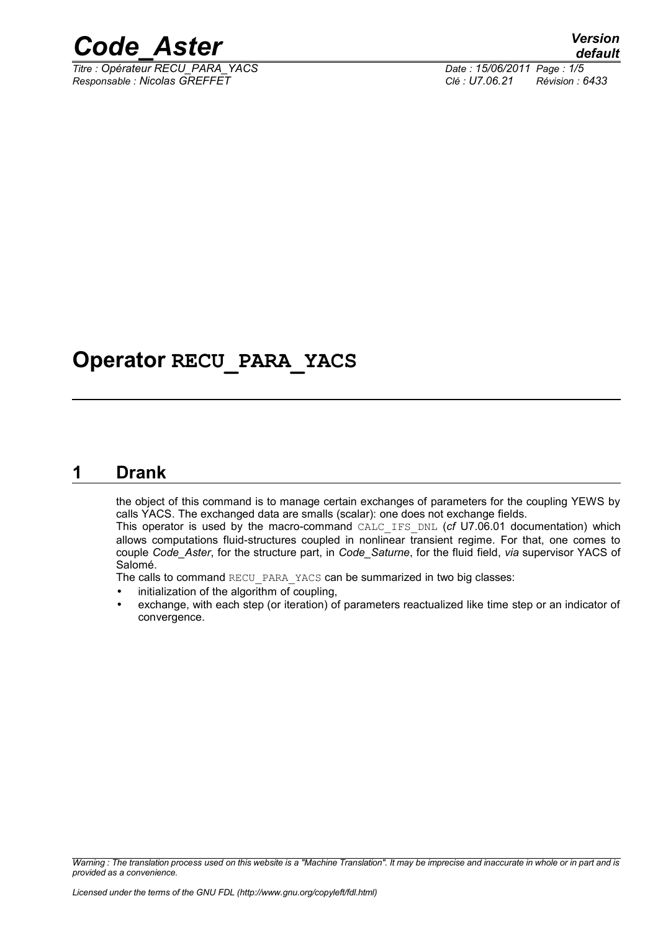

*Titre : Opérateur RECU\_PARA\_YACS Date : 15/06/2011 Page : 1/5 Responsable : Nicolas GREFFET Clé : U7.06.21 Révision : 6433*

## **Operator RECU\_PARA\_YACS**

### **1 Drank**

<span id="page-0-0"></span>the object of this command is to manage certain exchanges of parameters for the coupling YEWS by calls YACS. The exchanged data are smalls (scalar): one does not exchange fields.

This operator is used by the macro-command CALC\_IFS\_DNL (*cf* U7.06.01 documentation) which allows computations fluid-structures coupled in nonlinear transient regime. For that, one comes to couple *Code\_Aster*, for the structure part, in *Code\_Saturne*, for the fluid field, *via* supervisor YACS of Salomé.

The calls to command RECU\_PARA\_YACS can be summarized in two big classes:

- initialization of the algorithm of coupling,
- exchange, with each step (or iteration) of parameters reactualized like time step or an indicator of convergence.

*Warning : The translation process used on this website is a "Machine Translation". It may be imprecise and inaccurate in whole or in part and is provided as a convenience.*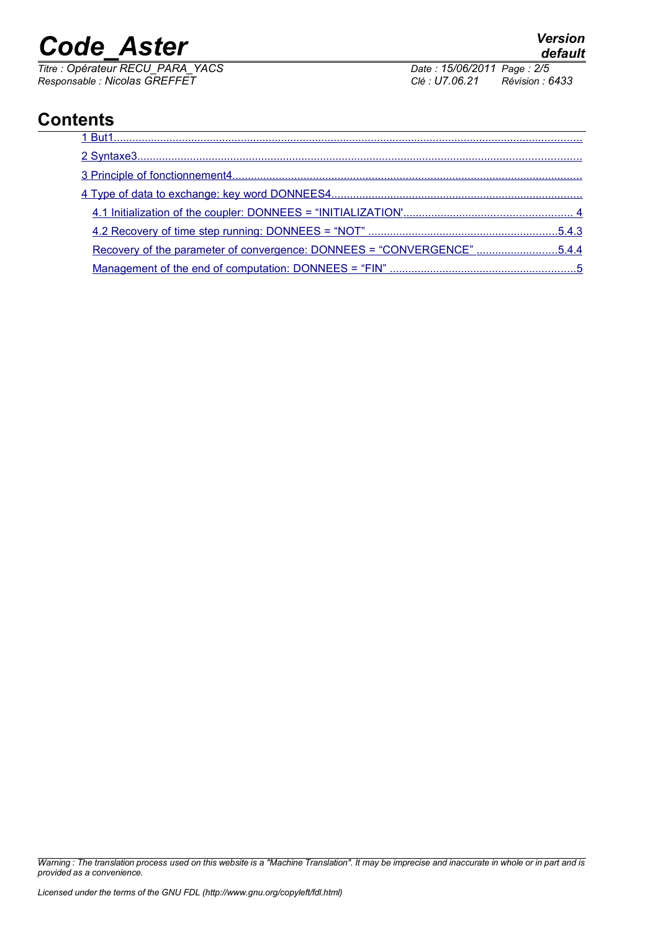# *Code\_Aster Version*

*Titre : Opérateur RECU\_PARA\_YACS Date : 15/06/2011 Page : 2/5 Responsable : Nicolas GREFFET Clé : U7.06.21 Révision : 6433*

## **Contents**

*Warning : The translation process used on this website is a "Machine Translation". It may be imprecise and inaccurate in whole or in part and is provided as a convenience.*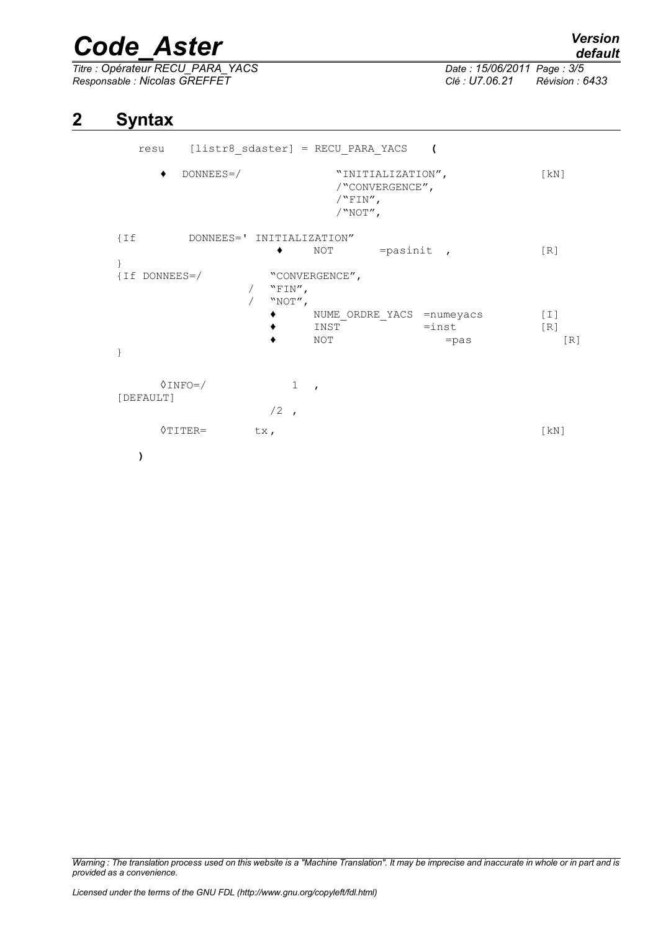## *Code\_Aster Version*

*Titre : Opérateur RECU\_PARA\_YACS Date : 15/06/2011 Page : 3/5 Responsable : Nicolas GREFFET Clé : U7.06.21 Révision : 6433*

### **2 Syntax**

<span id="page-2-0"></span>resu [listr8\_sdaster] = RECU\_PARA\_YACS **(** ♦ DONNEES=/ "INITIALIZATION", [kN] /"CONVERGENCE",  $/$ "FIN",  $/$ "NOT", {If DONNEES=' INITIALIZATION" ◆ NOT =pasinit , [R] } {If DONNEES=/ "CONVERGENCE",  $/$  "FIN",  $/$  "NOT", ♦ NUME\_ORDRE\_YACS =numeyacs [I] ◆ INST =inst [R]<br>◆ NOT =pas  $\bullet$  NOT =pas [R] }  $\Diamond$ INFO=/ 1, [DEFAULT]  $/2$ ,  $\Diamond$ TITER= tx, [kN] **)**

*Warning : The translation process used on this website is a "Machine Translation". It may be imprecise and inaccurate in whole or in part and is provided as a convenience.*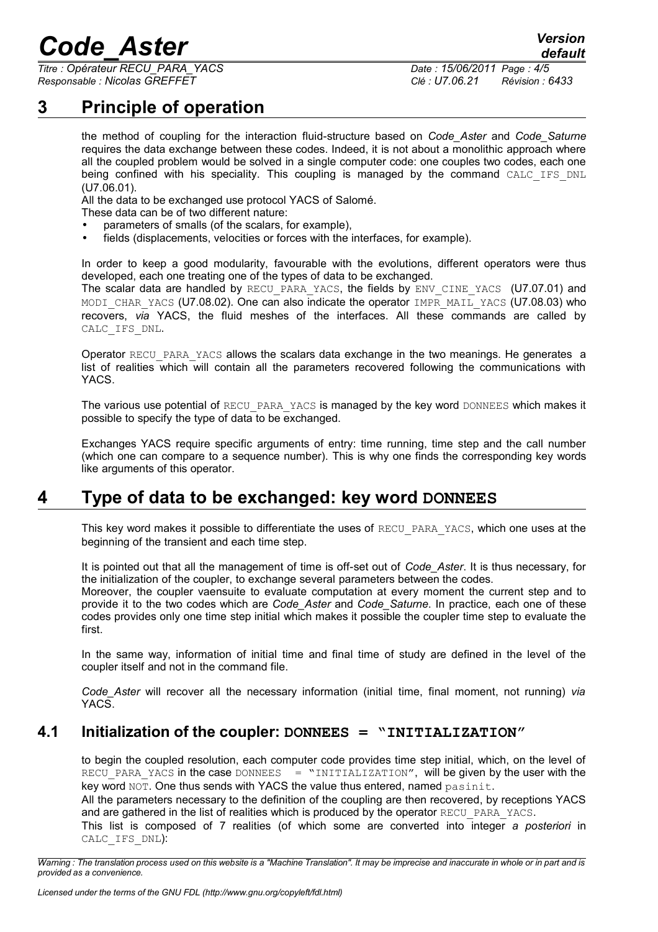## *Code\_Aster Version*

*Titre : Opérateur RECU\_PARA\_YACS Date : 15/06/2011 Page : 4/5 Responsable : Nicolas GREFFET Clé : U7.06.21 Révision : 6433*

*default*

## **3 Principle of operation**

<span id="page-3-2"></span>the method of coupling for the interaction fluid-structure based on *Code\_Aster* and *Code\_Saturne* requires the data exchange between these codes. Indeed, it is not about a monolithic approach where all the coupled problem would be solved in a single computer code: one couples two codes, each one being confined with his speciality. This coupling is managed by the command CALC IFS DNL (U7.06.01).

All the data to be exchanged use protocol YACS of Salomé.

These data can be of two different nature:

- parameters of smalls (of the scalars, for example),
- fields (displacements, velocities or forces with the interfaces, for example).

In order to keep a good modularity, favourable with the evolutions, different operators were thus developed, each one treating one of the types of data to be exchanged.

The scalar data are handled by RECU\_PARA\_YACS, the fields by ENV\_CINE\_YACS (U7.07.01) and MODI CHAR YACS (U7.08.02). One can also indicate the operator IMPR MAIL YACS (U7.08.03) who recovers, *via* YACS, the fluid meshes of the interfaces. All these commands are called by CALC\_IFS\_DNL.

Operator RECU\_PARA\_YACS allows the scalars data exchange in the two meanings. He generates a list of realities which will contain all the parameters recovered following the communications with YACS.

The various use potential of RECU PARA YACS is managed by the key word DONNEES which makes it possible to specify the type of data to be exchanged.

Exchanges YACS require specific arguments of entry: time running, time step and the call number (which one can compare to a sequence number). This is why one finds the corresponding key words like arguments of this operator.

## **4 Type of data to be exchanged: key word DONNEES**

<span id="page-3-1"></span>This key word makes it possible to differentiate the uses of RECU\_PARA\_YACS, which one uses at the beginning of the transient and each time step.

It is pointed out that all the management of time is off-set out of *Code\_Aster*. It is thus necessary, for the initialization of the coupler, to exchange several parameters between the codes.

Moreover, the coupler vaensuite to evaluate computation at every moment the current step and to provide it to the two codes which are *Code\_Aster* and *Code\_Saturne*. In practice, each one of these codes provides only one time step initial which makes it possible the coupler time step to evaluate the first.

In the same way, information of initial time and final time of study are defined in the level of the coupler itself and not in the command file.

*Code\_Aster* will recover all the necessary information (initial time, final moment, not running) *via* YACS.

#### **4.1 Initialization of the coupler: DONNEES = "INITIALIZATION"**

<span id="page-3-0"></span>to begin the coupled resolution, each computer code provides time step initial, which, on the level of RECU PARA YACS in the case DONNEES  $=$  "INITIALIZATION", will be given by the user with the key word NOT. One thus sends with YACS the value thus entered, named pasinit.

All the parameters necessary to the definition of the coupling are then recovered, by receptions YACS and are gathered in the list of realities which is produced by the operator RECU\_PARA\_YACS.

This list is composed of 7 realities (of which some are converted into integer *a posteriori* in CALC\_IFS\_DNL):

*Warning : The translation process used on this website is a "Machine Translation". It may be imprecise and inaccurate in whole or in part and is provided as a convenience.*